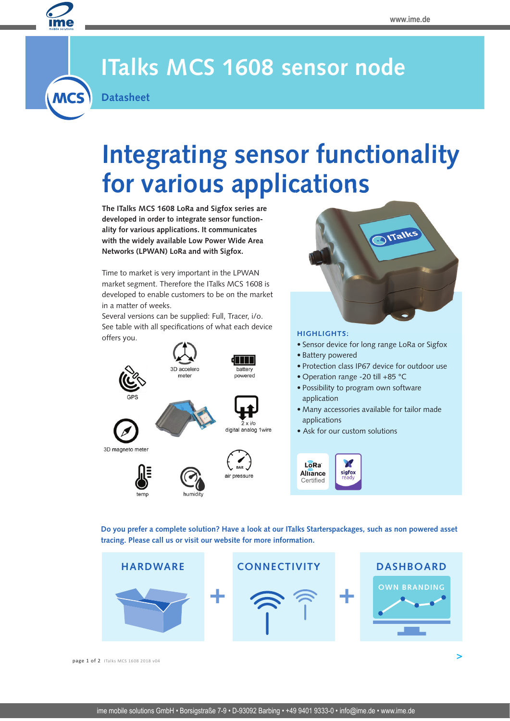

**MCS** 

### **ITalks MCS 1608 sensor node**

**Datasheet** 

# **Integrating sensor functionality for various applications**

**The ITalks MCS 1608 LoRa and Sigfox series are developed in order to integrate sensor functionality for various applications. It communicates with the widely available Low Power Wide Area Networks (LPWAN) LoRa and with Sigfox.**

Time to market is very important in the LPWAN market segment. Therefore the ITalks MCS 1608 is developed to enable customers to be on the market in a matter of weeks.

Several versions can be supplied: Full, Tracer, i/o. See table with all specifications of what each device offers you.





#### **HIGHLIGHTS:**

- Sensor device for long range LoRa or Sigfox
- Battery powered
- Protection class IP67 device for outdoor use
- Operation range -20 till +85 °C
- Possibility to program own software application
- Many accessories available for tailor made applications

 **>**

• Ask for our custom solutions

X  $L\widehat{\delta}Ra$ Alliance sigfox Certified

**Do you prefer a complete solution? Have a look at our ITalks Starterspackages, such as non powered asset tracing. Please call us or visit our website for more information.**



**page 1 of 2** ITalks MCS 1608 2018 v04